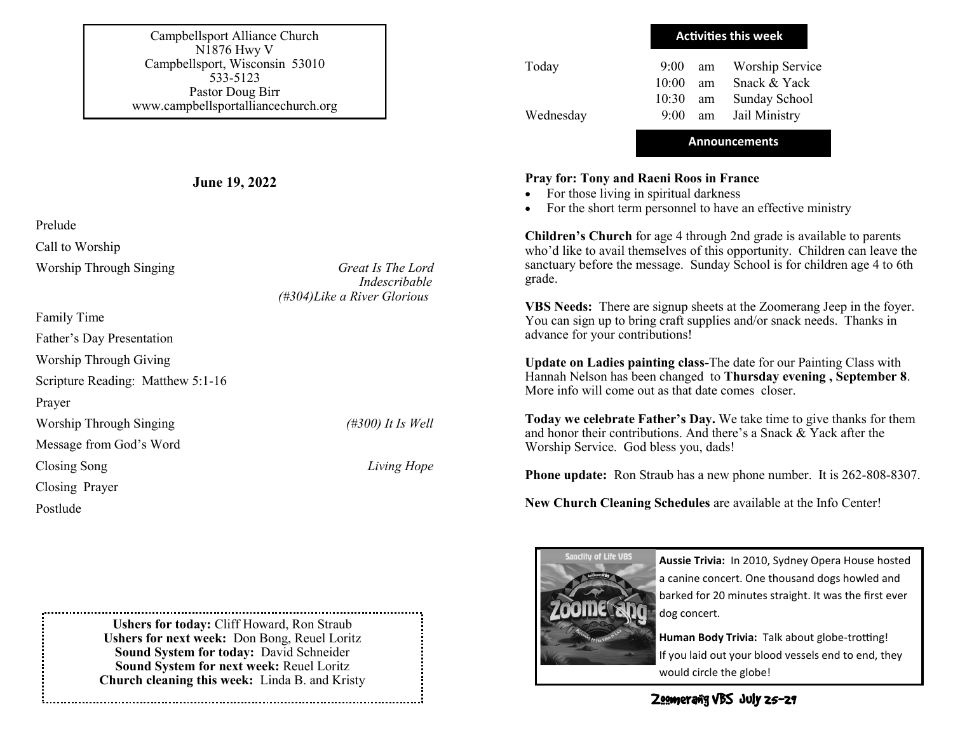Campbellsport Alliance Church N1876 Hwy V Campbellsport, Wisconsin 53010 533-5123 Pastor Doug Birr www.campbellsportalliancechurch.org

**June 19, 2022**

Prelude

Call to Worship

Worship Through Singing *Great Is The Lord Indescribable (#304)Like a River Glorious*

Family Time Father's Day Presentation Worship Through Giving Scripture Reading: Matthew 5:1-16 Prayer Worship Through Singing *(#300) It Is Well* Message from God's Word Closing Song *Living Hope* Closing Prayer Postlude

> **Ushers for today:** Cliff Howard, Ron Straub **Ushers for next week:** Don Bong, Reuel Loritz **Sound System for today:** David Schneider **Sound System for next week:** Reuel Loritz **Church cleaning this week:** Linda B. and Kristy

| Today     | <b>Activities this week</b> |    |                        |
|-----------|-----------------------------|----|------------------------|
|           | $9:00^{-}$                  | am | <b>Worship Service</b> |
|           | 10:00                       | am | Snack & Yack           |
|           | 10:30                       | am | Sunday School          |
| Wednesday | $9:00^{-}$                  |    | am Jail Ministry       |

## **Pray for: Tony and Raeni Roos in France**

- For those living in spiritual darkness
- For the short term personnel to have an effective ministry

**Children's Church** for age 4 through 2nd grade is available to parents who'd like to avail themselves of this opportunity. Children can leave the sanctuary before the message. Sunday School is for children age 4 to 6th grade.

**Announcements**

**VBS Needs:** There are signup sheets at the Zoomerang Jeep in the foyer. You can sign up to bring craft supplies and/or snack needs. Thanks in advance for your contributions!

**Update on Ladies painting class-**The date for our Painting Class with Hannah Nelson has been changed to **Thursday evening , September 8**. More info will come out as that date comes closer.

**Today we celebrate Father's Day.** We take time to give thanks for them and honor their contributions. And there's a Snack & Yack after the Worship Service. God bless you, dads!

**Phone update:** Ron Straub has a new phone number. It is 262-808-8307.

**New Church Cleaning Schedules** are available at the Info Center!



**Aussie Trivia:** In 2010, Sydney Opera House hosted a canine concert. One thousand dogs howled and barked for 20 minutes straight. It was the first ever dog concert.

**Human Body Trivia:** Talk about globe-trotting! If you laid out your blood vessels end to end, they would circle the globe!

Zoomerang VBS July 25-29